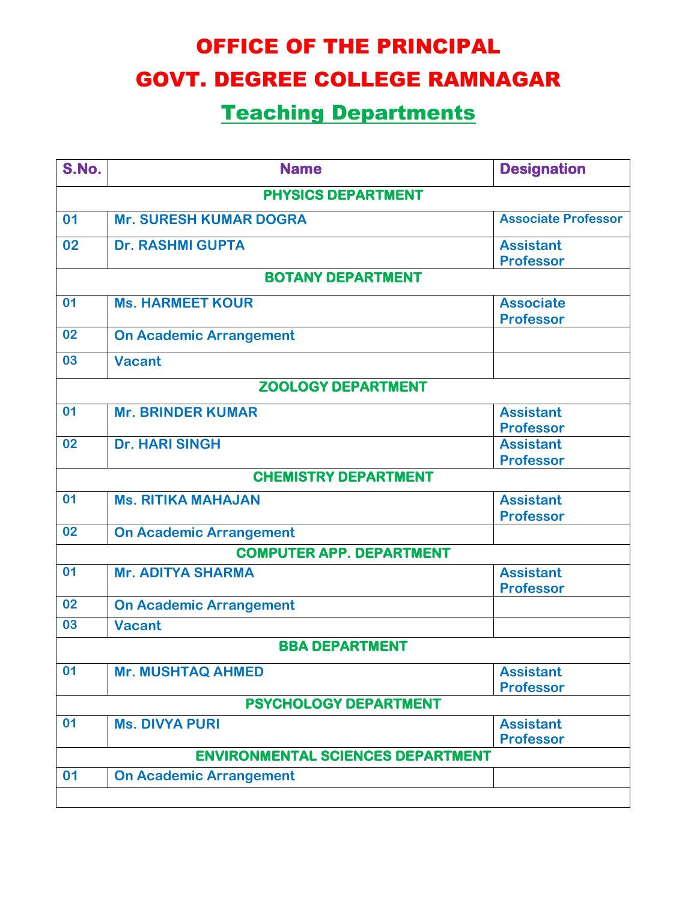## OFFICE OF THE PRINCIPAL GOVT. DEGREE COLLEGE RAMNAGAR

## Teaching Departments

| S.No.                                    | <b>Name</b>                    | <b>Designation</b>         |  |  |
|------------------------------------------|--------------------------------|----------------------------|--|--|
| <b>PHYSICS DEPARTMENT</b>                |                                |                            |  |  |
| 01                                       | <b>Mr. SURESH KUMAR DOGRA</b>  | <b>Associate Professor</b> |  |  |
| 02                                       | <b>Dr. RASHMI GUPTA</b>        | <b>Assistant</b>           |  |  |
|                                          |                                | <b>Professor</b>           |  |  |
| <b>BOTANY DEPARTMENT</b>                 |                                |                            |  |  |
| 01                                       | <b>Ms. HARMEET KOUR</b>        | <b>Associate</b>           |  |  |
|                                          |                                | <b>Professor</b>           |  |  |
| 02                                       | <b>On Academic Arrangement</b> |                            |  |  |
| 03                                       | <b>Vacant</b>                  |                            |  |  |
| <b>ZOOLOGY DEPARTMENT</b>                |                                |                            |  |  |
| 01                                       | <b>Mr. BRINDER KUMAR</b>       | <b>Assistant</b>           |  |  |
|                                          |                                | <b>Professor</b>           |  |  |
| 02                                       | <b>Dr. HARI SINGH</b>          | <b>Assistant</b>           |  |  |
|                                          |                                | <b>Professor</b>           |  |  |
| <b>CHEMISTRY DEPARTMENT</b>              |                                |                            |  |  |
| 01                                       | <b>Ms. RITIKA MAHAJAN</b>      | <b>Assistant</b>           |  |  |
|                                          |                                | <b>Professor</b>           |  |  |
| 02                                       | <b>On Academic Arrangement</b> |                            |  |  |
| <b>COMPUTER APP. DEPARTMENT</b>          |                                |                            |  |  |
| 01                                       | <b>Mr. ADITYA SHARMA</b>       | <b>Assistant</b>           |  |  |
|                                          |                                | <b>Professor</b>           |  |  |
| 02                                       | <b>On Academic Arrangement</b> |                            |  |  |
| 03                                       | <b>Vacant</b>                  |                            |  |  |
|                                          | <b>BBA DEPARTMENT</b>          |                            |  |  |
| 01                                       | <b>Mr. MUSHTAQ AHMED</b>       | <b>Assistant</b>           |  |  |
|                                          |                                | <b>Professor</b>           |  |  |
| <b>PSYCHOLOGY DEPARTMENT</b>             |                                |                            |  |  |
| 01                                       | <b>Ms. DIVYA PURI</b>          | <b>Assistant</b>           |  |  |
|                                          |                                | <b>Professor</b>           |  |  |
| <b>ENVIRONMENTAL SCIENCES DEPARTMENT</b> |                                |                            |  |  |
| 01                                       | <b>On Academic Arrangement</b> |                            |  |  |
|                                          |                                |                            |  |  |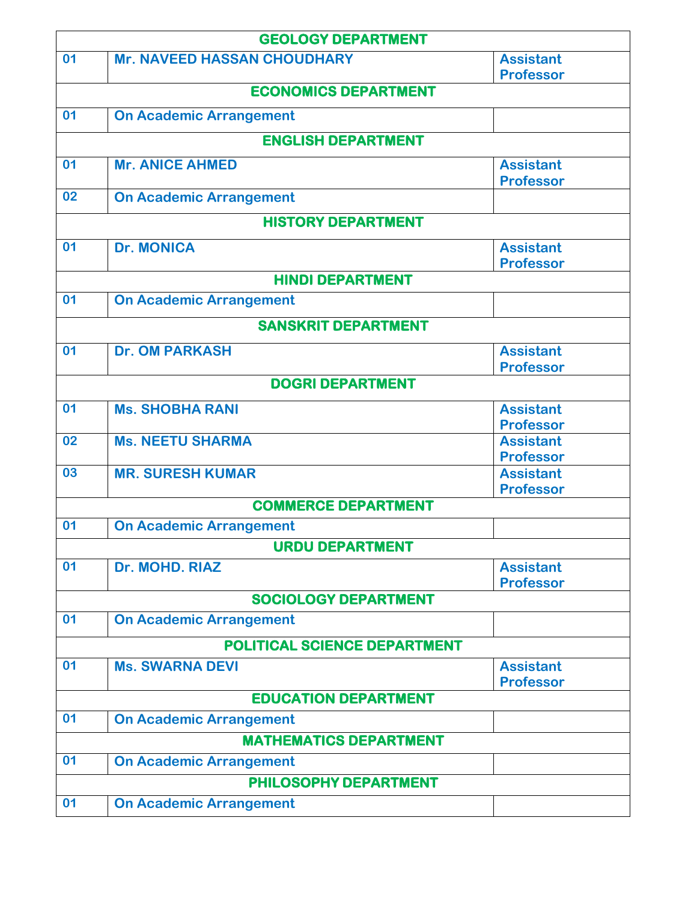| <b>GEOLOGY DEPARTMENT</b>     |                                    |                                      |  |  |
|-------------------------------|------------------------------------|--------------------------------------|--|--|
| 01                            | <b>Mr. NAVEED HASSAN CHOUDHARY</b> | <b>Assistant</b>                     |  |  |
|                               | <b>ECONOMICS DEPARTMENT</b>        | <b>Professor</b>                     |  |  |
|                               |                                    |                                      |  |  |
| 01                            | <b>On Academic Arrangement</b>     |                                      |  |  |
| <b>ENGLISH DEPARTMENT</b>     |                                    |                                      |  |  |
| 01                            | <b>Mr. ANICE AHMED</b>             | <b>Assistant</b>                     |  |  |
|                               |                                    | <b>Professor</b>                     |  |  |
| 02                            | <b>On Academic Arrangement</b>     |                                      |  |  |
| <b>HISTORY DEPARTMENT</b>     |                                    |                                      |  |  |
| 01                            | <b>Dr. MONICA</b>                  | <b>Assistant</b>                     |  |  |
|                               |                                    | <b>Professor</b>                     |  |  |
| <b>HINDI DEPARTMENT</b>       |                                    |                                      |  |  |
| 01                            | <b>On Academic Arrangement</b>     |                                      |  |  |
| <b>SANSKRIT DEPARTMENT</b>    |                                    |                                      |  |  |
| 01                            | <b>Dr. OM PARKASH</b>              | <b>Assistant</b>                     |  |  |
|                               |                                    | <b>Professor</b>                     |  |  |
| <b>DOGRI DEPARTMENT</b>       |                                    |                                      |  |  |
| 01                            | <b>Ms. SHOBHA RANI</b>             | <b>Assistant</b>                     |  |  |
| 02                            | <b>Ms. NEETU SHARMA</b>            | <b>Professor</b><br><b>Assistant</b> |  |  |
|                               |                                    | <b>Professor</b>                     |  |  |
| 03                            | <b>MR. SURESH KUMAR</b>            | <b>Assistant</b>                     |  |  |
|                               |                                    | <b>Professor</b>                     |  |  |
|                               | <b>COMMERCE DEPARTMENT</b>         |                                      |  |  |
| 01                            | <b>On Academic Arrangement</b>     |                                      |  |  |
| <b>URDU DEPARTMENT</b>        |                                    |                                      |  |  |
| 01                            | Dr. MOHD. RIAZ                     | <b>Assistant</b>                     |  |  |
|                               | <b>SOCIOLOGY DEPARTMENT</b>        | <b>Professor</b>                     |  |  |
| 01                            | <b>On Academic Arrangement</b>     |                                      |  |  |
|                               |                                    |                                      |  |  |
|                               | POLITICAL SCIENCE DEPARTMENT       |                                      |  |  |
| 01                            | <b>Ms. SWARNA DEVI</b>             | <b>Assistant</b><br><b>Professor</b> |  |  |
|                               | <b>EDUCATION DEPARTMENT</b>        |                                      |  |  |
| 01                            | <b>On Academic Arrangement</b>     |                                      |  |  |
| <b>MATHEMATICS DEPARTMENT</b> |                                    |                                      |  |  |
| 01                            | <b>On Academic Arrangement</b>     |                                      |  |  |
| PHILOSOPHY DEPARTMENT         |                                    |                                      |  |  |
| 01                            | <b>On Academic Arrangement</b>     |                                      |  |  |
|                               |                                    |                                      |  |  |